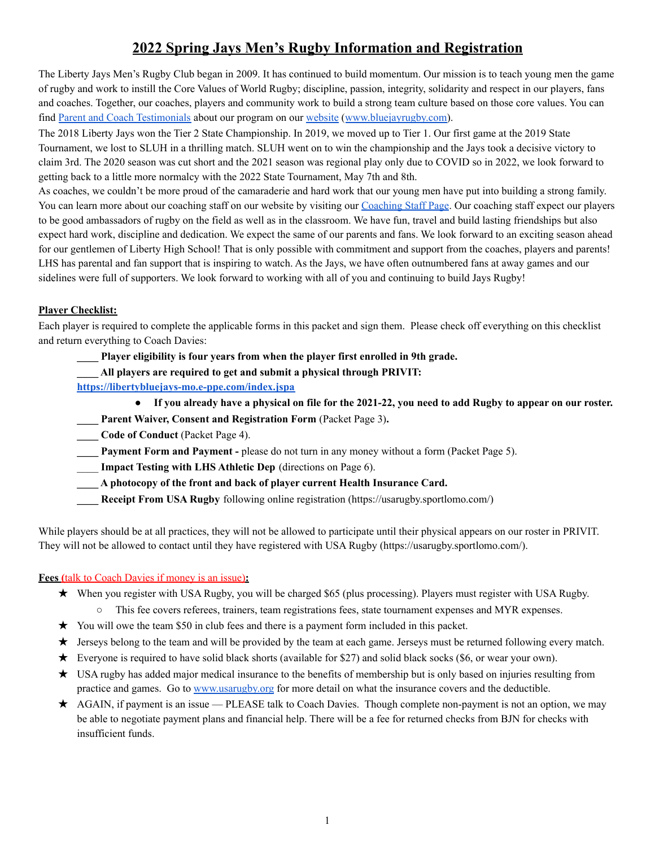## **2022 Spring Jays Men's Rugby Information and Registration**

The Liberty Jays Men's Rugby Club began in 2009. It has continued to build momentum. Our mission is to teach young men the game of rugby and work to instill the Core Values of World Rugby; discipline, passion, integrity, solidarity and respect in our players, fans and coaches. Together, our coaches, players and community work to build a strong team culture based on those core values. You can find Parent and Coach [Testimonials](https://www.bluejayrugby.com/parent-approved.html) about our program on our [website](https://www.bluejayrugby.com/) ([www.bluejayrugby.com\)](http://www.bluejayrugby.com).

The 2018 Liberty Jays won the Tier 2 State Championship. In 2019, we moved up to Tier 1. Our first game at the 2019 State Tournament, we lost to SLUH in a thrilling match. SLUH went on to win the championship and the Jays took a decisive victory to claim 3rd. The 2020 season was cut short and the 2021 season was regional play only due to COVID so in 2022, we look forward to getting back to a little more normalcy with the 2022 State Tournament, May 7th and 8th.

As coaches, we couldn't be more proud of the camaraderie and hard work that our young men have put into building a strong family. You can learn more about our coaching staff on our website by visiting our [Coaching](https://www.bluejayrugby.com/coaching-staff.html) Staff Page. Our coaching staff expect our players to be good ambassadors of rugby on the field as well as in the classroom. We have fun, travel and build lasting friendships but also expect hard work, discipline and dedication. We expect the same of our parents and fans. We look forward to an exciting season ahead for our gentlemen of Liberty High School! That is only possible with commitment and support from the coaches, players and parents! LHS has parental and fan support that is inspiring to watch. As the Jays, we have often outnumbered fans at away games and our sidelines were full of supporters. We look forward to working with all of you and continuing to build Jays Rugby!

#### **Player Checklist:**

Each player is required to complete the applicable forms in this packet and sign them. Please check off everything on this checklist and return everything to Coach Davies:

- **\_\_\_\_ Player eligibility is four years from when the player first enrolled in 9th grade.**
- **\_\_\_\_ All players are required to get and submit a physical through PRIVIT:**
- **<https://libertybluejays-mo.e-ppe.com/index.jspa>**
	- If you already have a physical on file for the 2021-22, you need to add Rugby to appear on our roster.
	- **\_\_\_\_ Parent Waiver, Consent and Registration Form** (Packet Page 3)**.**
- **\_\_\_\_ Code of Conduct** (Packet Page 4).
- **\_\_\_\_ Payment Form and Payment -** please do not turn in any money without a form (Packet Page 5).
- \_\_\_\_ **Impact Testing with LHS Athletic Dep** (directions on Page 6).
- **\_\_\_\_ A photocopy of the front and back of player current Health Insurance Card.**
- **\_\_\_\_ Receipt From USA Rugby** following online registration (https://usarugby.sportlomo.com/)

While players should be at all practices, they will not be allowed to participate until their physical appears on our roster in PRIVIT. They will not be allowed to contact until they have registered with USA Rugby (https://usarugby.sportlomo.com/).

#### **Fees (**talk to Coach Davies if money is an issue)**:**

- ★ When you register with USA Rugby, you will be charged \$65 (plus processing). Players must register with USA Rugby.
	- This fee covers referees, trainers, team registrations fees, state tournament expenses and MYR expenses.
- $\star$  You will owe the team \$50 in club fees and there is a payment form included in this packet.
- ★ Jerseys belong to the team and will be provided by the team at each game. Jerseys must be returned following every match.
- ★ Everyone is required to have solid black shorts (available for \$27) and solid black socks (\$6, or wear your own).
- ★ USA rugby has added major medical insurance to the benefits of membership but is only based on injuries resulting from practice and games. Go to [www.usarugby.org](http://www.usarugby.org) for more detail on what the insurance covers and the deductible.
- ★ AGAIN, if payment is an issue PLEASE talk to Coach Davies. Though complete non-payment is not an option, we may be able to negotiate payment plans and financial help. There will be a fee for returned checks from BJN for checks with insufficient funds.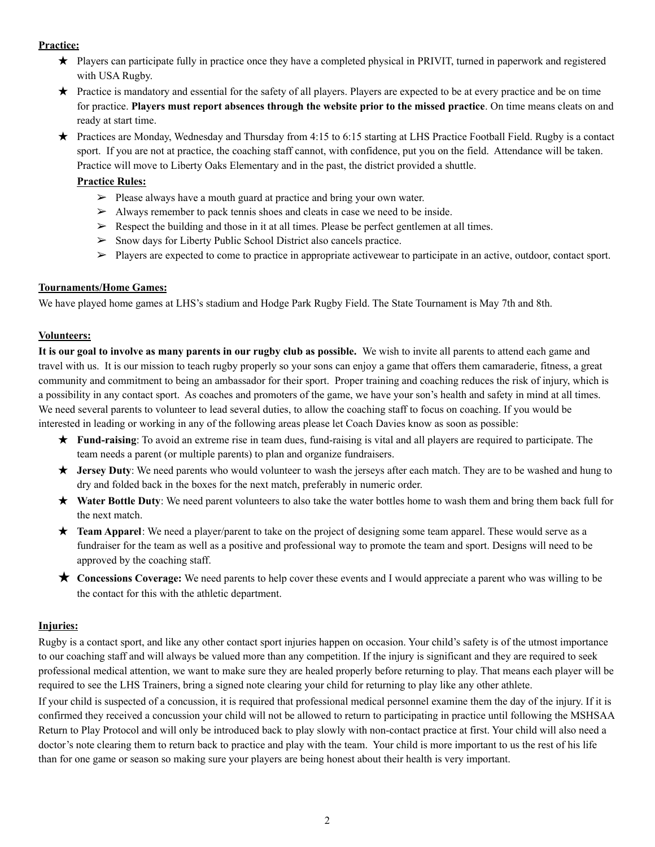#### **Practice:**

- ★ Players can participate fully in practice once they have a completed physical in PRIVIT, turned in paperwork and registered with USA Rugby.
- ★ Practice is mandatory and essential for the safety of all players. Players are expected to be at every practice and be on time for practice. **Players must report absences through the website prior to the missed practice**. On time means cleats on and ready at start time.
- ★ Practices are Monday, Wednesday and Thursday from 4:15 to 6:15 starting at LHS Practice Football Field. Rugby is a contact sport. If you are not at practice, the coaching staff cannot, with confidence, put you on the field. Attendance will be taken. Practice will move to Liberty Oaks Elementary and in the past, the district provided a shuttle.

#### **Practice Rules:**

- ➢ Please always have a mouth guard at practice and bring your own water.
- $\geq$  Always remember to pack tennis shoes and cleats in case we need to be inside.
- $\triangleright$  Respect the building and those in it at all times. Please be perfect gentlemen at all times.
- ➢ Snow days for Liberty Public School District also cancels practice.
- $\triangleright$  Players are expected to come to practice in appropriate activewear to participate in an active, outdoor, contact sport.

#### **Tournaments/Home Games:**

We have played home games at LHS's stadium and Hodge Park Rugby Field. The State Tournament is May 7th and 8th.

#### **Volunteers:**

It is our goal to involve as many parents in our rugby club as possible. We wish to invite all parents to attend each game and travel with us. It is our mission to teach rugby properly so your sons can enjoy a game that offers them camaraderie, fitness, a great community and commitment to being an ambassador for their sport. Proper training and coaching reduces the risk of injury, which is a possibility in any contact sport. As coaches and promoters of the game, we have your son's health and safety in mind at all times. We need several parents to volunteer to lead several duties, to allow the coaching staff to focus on coaching. If you would be interested in leading or working in any of the following areas please let Coach Davies know as soon as possible:

- ★ **Fund-raising**: To avoid an extreme rise in team dues, fund-raising is vital and all players are required to participate. The team needs a parent (or multiple parents) to plan and organize fundraisers.
- ★ **Jersey Duty**: We need parents who would volunteer to wash the jerseys after each match. They are to be washed and hung to dry and folded back in the boxes for the next match, preferably in numeric order.
- ★ **Water Bottle Duty**: We need parent volunteers to also take the water bottles home to wash them and bring them back full for the next match.
- **★ Team Apparel**: We need a player/parent to take on the project of designing some team apparel. These would serve as a fundraiser for the team as well as a positive and professional way to promote the team and sport. Designs will need to be approved by the coaching staff.
- ★ **Concessions Coverage:** We need parents to help cover these events and I would appreciate a parent who was willing to be the contact for this with the athletic department.

#### **Injuries:**

Rugby is a contact sport, and like any other contact sport injuries happen on occasion. Your child's safety is of the utmost importance to our coaching staff and will always be valued more than any competition. If the injury is significant and they are required to seek professional medical attention, we want to make sure they are healed properly before returning to play. That means each player will be required to see the LHS Trainers, bring a signed note clearing your child for returning to play like any other athlete.

If your child is suspected of a concussion, it is required that professional medical personnel examine them the day of the injury. If it is confirmed they received a concussion your child will not be allowed to return to participating in practice until following the MSHSAA Return to Play Protocol and will only be introduced back to play slowly with non-contact practice at first. Your child will also need a doctor's note clearing them to return back to practice and play with the team. Your child is more important to us the rest of his life than for one game or season so making sure your players are being honest about their health is very important.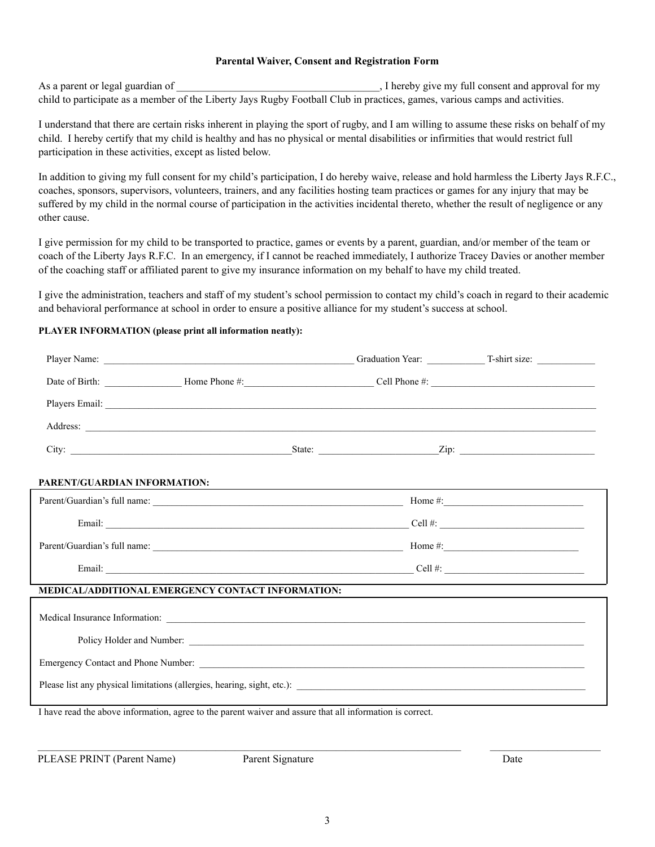#### **Parental Waiver, Consent and Registration Form**

As a parent or legal guardian of  $\blacksquare$ , I hereby give my full consent and approval for my child to participate as a member of the Liberty Jays Rugby Football Club in practices, games, various camps and activities.

I understand that there are certain risks inherent in playing the sport of rugby, and I am willing to assume these risks on behalf of my child. I hereby certify that my child is healthy and has no physical or mental disabilities or infirmities that would restrict full participation in these activities, except as listed below.

In addition to giving my full consent for my child's participation, I do hereby waive, release and hold harmless the Liberty Jays R.F.C., coaches, sponsors, supervisors, volunteers, trainers, and any facilities hosting team practices or games for any injury that may be suffered by my child in the normal course of participation in the activities incidental thereto, whether the result of negligence or any other cause.

I give permission for my child to be transported to practice, games or events by a parent, guardian, and/or member of the team or coach of the Liberty Jays R.F.C. In an emergency, if I cannot be reached immediately, I authorize Tracey Davies or another member of the coaching staff or affiliated parent to give my insurance information on my behalf to have my child treated.

I give the administration, teachers and staff of my student's school permission to contact my child's coach in regard to their academic and behavioral performance at school in order to ensure a positive alliance for my student's success at school.

#### **PLAYER INFORMATION (please print all information neatly):**

| PARENT/GUARDIAN INFORMATION:                                                                              |  |  |  |  |  |  |
|-----------------------------------------------------------------------------------------------------------|--|--|--|--|--|--|
|                                                                                                           |  |  |  |  |  |  |
|                                                                                                           |  |  |  |  |  |  |
|                                                                                                           |  |  |  |  |  |  |
|                                                                                                           |  |  |  |  |  |  |
| <b>MEDICAL/ADDITIONAL EMERGENCY CONTACT INFORMATION:</b>                                                  |  |  |  |  |  |  |
|                                                                                                           |  |  |  |  |  |  |
| Policy Holder and Number:                                                                                 |  |  |  |  |  |  |
|                                                                                                           |  |  |  |  |  |  |
|                                                                                                           |  |  |  |  |  |  |
| I have read the above information, agree to the parent waiver and assure that all information is correct. |  |  |  |  |  |  |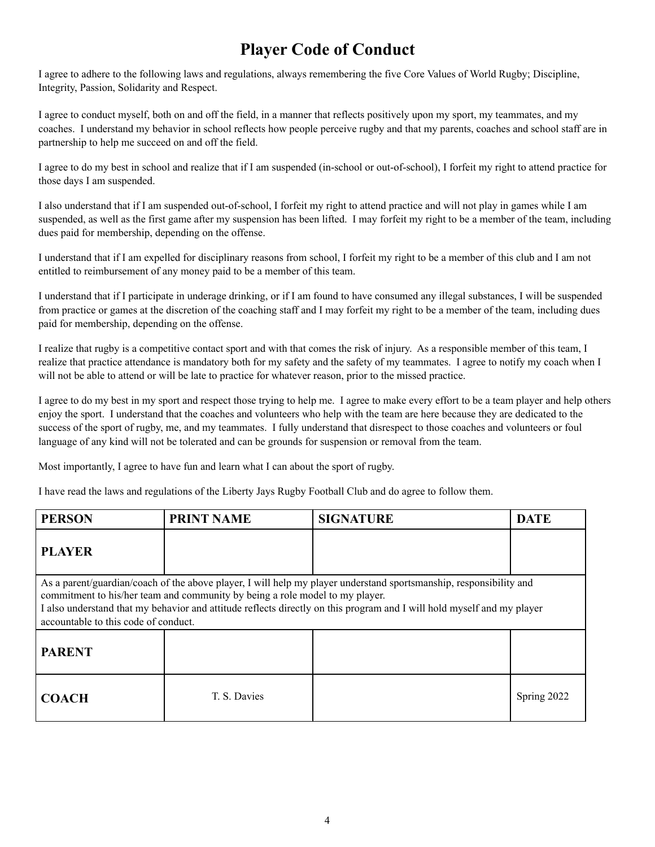## **Player Code of Conduct**

I agree to adhere to the following laws and regulations, always remembering the five Core Values of World Rugby; Discipline, Integrity, Passion, Solidarity and Respect.

I agree to conduct myself, both on and off the field, in a manner that reflects positively upon my sport, my teammates, and my coaches. I understand my behavior in school reflects how people perceive rugby and that my parents, coaches and school staff are in partnership to help me succeed on and off the field.

I agree to do my best in school and realize that if I am suspended (in-school or out-of-school), I forfeit my right to attend practice for those days I am suspended.

I also understand that if I am suspended out-of-school, I forfeit my right to attend practice and will not play in games while I am suspended, as well as the first game after my suspension has been lifted. I may forfeit my right to be a member of the team, including dues paid for membership, depending on the offense.

I understand that if I am expelled for disciplinary reasons from school, I forfeit my right to be a member of this club and I am not entitled to reimbursement of any money paid to be a member of this team.

I understand that if I participate in underage drinking, or if I am found to have consumed any illegal substances, I will be suspended from practice or games at the discretion of the coaching staff and I may forfeit my right to be a member of the team, including dues paid for membership, depending on the offense.

I realize that rugby is a competitive contact sport and with that comes the risk of injury. As a responsible member of this team, I realize that practice attendance is mandatory both for my safety and the safety of my teammates. I agree to notify my coach when I will not be able to attend or will be late to practice for whatever reason, prior to the missed practice.

I agree to do my best in my sport and respect those trying to help me. I agree to make every effort to be a team player and help others enjoy the sport. I understand that the coaches and volunteers who help with the team are here because they are dedicated to the success of the sport of rugby, me, and my teammates. I fully understand that disrespect to those coaches and volunteers or foul language of any kind will not be tolerated and can be grounds for suspension or removal from the team.

Most importantly, I agree to have fun and learn what I can about the sport of rugby.

I have read the laws and regulations of the Liberty Jays Rugby Football Club and do agree to follow them.

| <b>PERSON</b>                                                                                                                                                                                                                                                                                                                                                        | <b>PRINT NAME</b> | <b>SIGNATURE</b> | <b>DATE</b> |  |  |
|----------------------------------------------------------------------------------------------------------------------------------------------------------------------------------------------------------------------------------------------------------------------------------------------------------------------------------------------------------------------|-------------------|------------------|-------------|--|--|
| <b>PLAYER</b>                                                                                                                                                                                                                                                                                                                                                        |                   |                  |             |  |  |
| As a parent/guardian/coach of the above player, I will help my player understand sportsmanship, responsibility and<br>commitment to his/her team and community by being a role model to my player.<br>I also understand that my behavior and attitude reflects directly on this program and I will hold myself and my player<br>accountable to this code of conduct. |                   |                  |             |  |  |
| <b>PARENT</b>                                                                                                                                                                                                                                                                                                                                                        |                   |                  |             |  |  |
| <b>COACH</b>                                                                                                                                                                                                                                                                                                                                                         | T. S. Davies      |                  | Spring 2022 |  |  |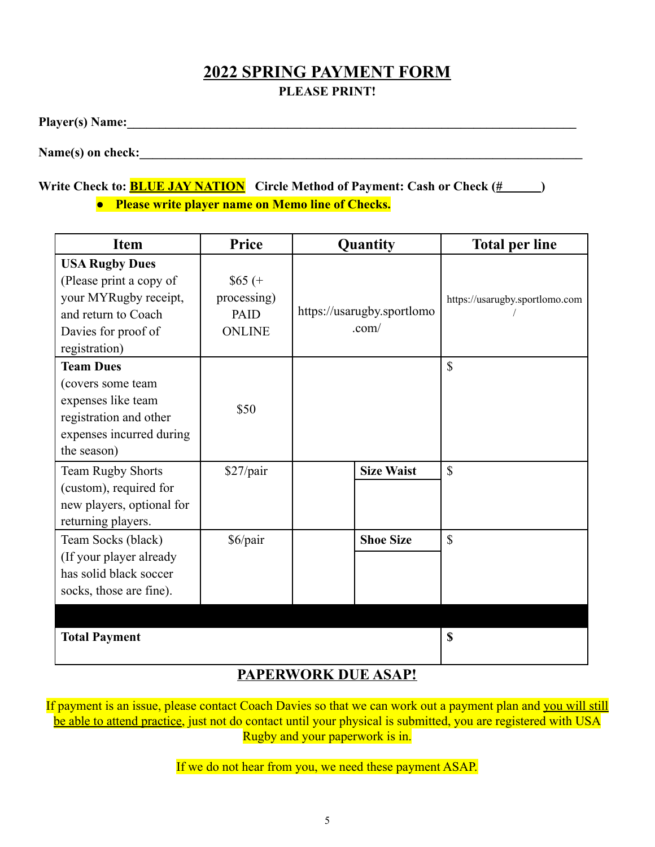## **2022 SPRING PAYMENT FORM PLEASE PRINT!**

**Player(s) Name:\_\_\_\_\_\_\_\_\_\_\_\_\_\_\_\_\_\_\_\_\_\_\_\_\_\_\_\_\_\_\_\_\_\_\_\_\_\_\_\_\_\_\_\_\_\_\_\_\_\_\_\_\_\_\_\_\_\_\_\_\_\_\_\_\_\_\_\_\_\_**

Name(s) on check:

## **Write Check to: BLUE JAY NATION Circle Method of Payment: Cash or Check (# )**

**● Please write player name on Memo line of Checks.**

| <b>Item</b>                                                                                                                              | <b>Price</b>                                            | Quantity                            | <b>Total per line</b>          |
|------------------------------------------------------------------------------------------------------------------------------------------|---------------------------------------------------------|-------------------------------------|--------------------------------|
| <b>USA Rugby Dues</b><br>(Please print a copy of<br>your MYRugby receipt,<br>and return to Coach<br>Davies for proof of<br>registration) | $$65 (+$<br>processing)<br><b>PAID</b><br><b>ONLINE</b> | https://usarugby.sportlomo<br>.com/ | https://usarugby.sportlomo.com |
| <b>Team Dues</b><br>(covers some team<br>expenses like team<br>registration and other<br>expenses incurred during<br>the season)         | \$50                                                    |                                     | $\mathbf S$                    |
| Team Rugby Shorts<br>(custom), required for<br>new players, optional for<br>returning players.                                           | \$27/pair                                               | <b>Size Waist</b>                   | $\mathbf S$                    |
| Team Socks (black)<br>(If your player already<br>has solid black soccer<br>socks, those are fine).                                       | \$6/pair                                                | <b>Shoe Size</b>                    | $\mathbb{S}$                   |
| <b>Total Payment</b>                                                                                                                     |                                                         |                                     | \$                             |

## **PAPERWORK DUE ASAP!**

If payment is an issue, please contact Coach Davies so that we can work out a payment plan and you will still be able to attend practice, just not do contact until your physical is submitted, you are registered with USA Rugby and your paperwork is in.

If we do not hear from you, we need these payment ASAP.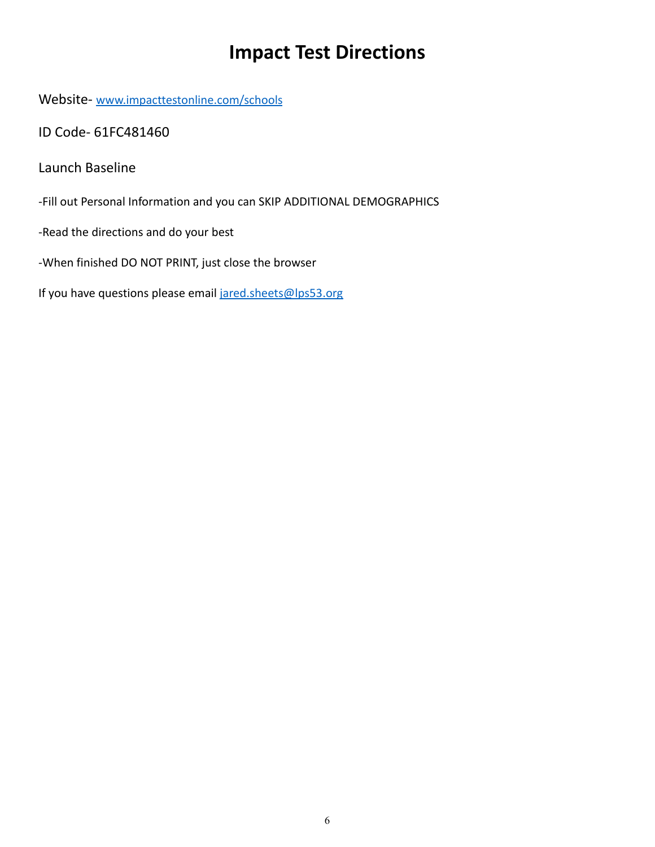# **Impact Test Directions**

Website- [www.impacttestonline.com/schools](http://www.impacttestonline.com/schools)

ID Code- 61FC481460

Launch Baseline

-Fill out Personal Information and you can SKIP ADDITIONAL DEMOGRAPHICS

-Read the directions and do your best

-When finished DO NOT PRINT, just close the browser

If you have questions please email [jared.sheets@lps53.org](mailto:jared.sheets@lps53.org)